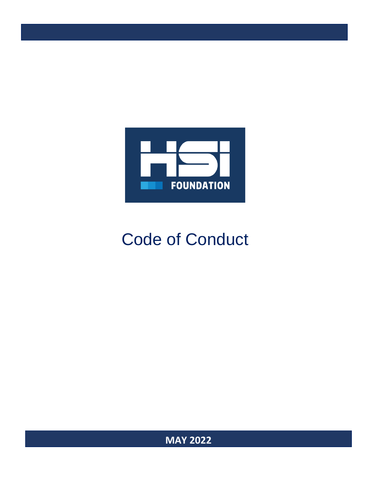

# Code of Conduct

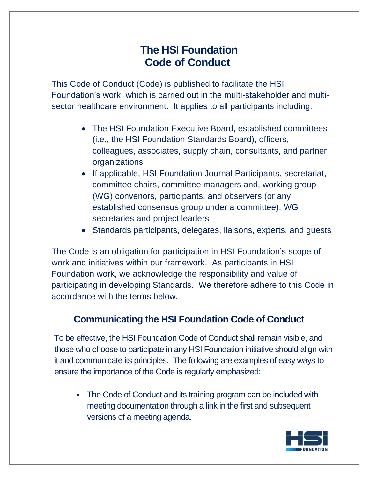# **The HSI Foundation Code of Conduct**

This Code of Conduct (Code) is published to facilitate the HSI Foundation's work, which is carried out in the multi-stakeholder and multisector healthcare environment. It applies to all participants including:

- The HSI Foundation Executive Board, established committees (i.e., the HSI Foundation Standards Board), officers, colleagues, associates, supply chain, consultants, and partner organizations
- If applicable, HSI Foundation Journal Participants, secretariat, committee chairs, committee managers and, working group (WG) convenors, participants, and observers (or any established consensus group under a committee), WG secretaries and project leaders
- Standards participants, delegates, liaisons, experts, and guests

The Code is an obligation for participation in HSI Foundation's scope of work and initiatives within our framework. As participants in HSI Foundation work, we acknowledge the responsibility and value of participating in developing Standards. We therefore adhere to this Code in accordance with the terms below.

#### **Communicating the HSI Foundation Code of Conduct**

To be effective, the HSI Foundation Code of Conduct shall remain visible, and those who choose to participate in any HSI Foundation initiative should align with it and communicate its principles. The following are examples of easy ways to ensure the importance of the Code is regularly emphasized:

• The Code of Conduct and its training program can be included with meeting documentation through a link in the first and subsequent versions of a meeting agenda.

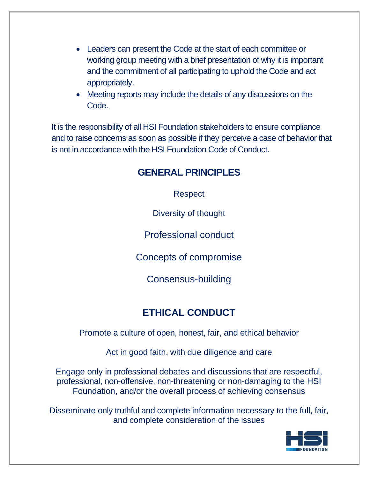- Leaders can present the Code at the start of each committee or working group meeting with a brief presentation of why it is important and the commitment of all participating to uphold the Code and act appropriately.
- Meeting reports may include the details of any discussions on the Code.

It is the responsibility of all HSI Foundation stakeholders to ensure compliance and to raise concerns as soon as possible if they perceive a case of behavior that is not in accordance with the HSI Foundation Code of Conduct.

#### **GENERAL PRINCIPLES**

Respect

Diversity of thought

Professional conduct

Concepts of compromise

Consensus-building

## **ETHICAL CONDUCT**

Promote a culture of open, honest, fair, and ethical behavior

Act in good faith, with due diligence and care

Engage only in professional debates and discussions that are respectful, professional, non-offensive, non-threatening or non-damaging to the HSI Foundation, and/or the overall process of achieving consensus

Disseminate only truthful and complete information necessary to the full, fair, and complete consideration of the issues

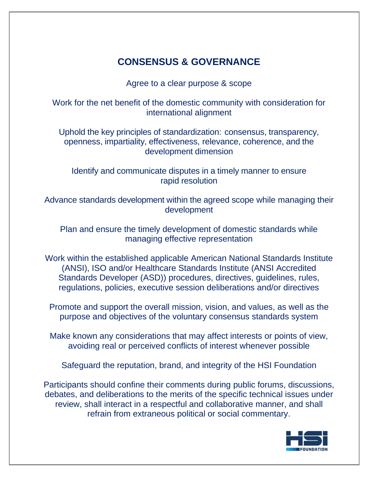### **CONSENSUS & GOVERNANCE**

Agree to a clear purpose & scope

Work for the net benefit of the domestic community with consideration for international alignment

Uphold the key principles of standardization: consensus, transparency, openness, impartiality, effectiveness, relevance, coherence, and the development dimension

Identify and communicate disputes in a timely manner to ensure rapid resolution

Advance standards development within the agreed scope while managing their development

Plan and ensure the timely development of domestic standards while managing effective representation

Work within the established applicable American National Standards Institute (ANSI), ISO and/or Healthcare Standards Institute (ANSI Accredited Standards Developer (ASD)) procedures, directives, guidelines, rules, regulations, policies, executive session deliberations and/or directives

Promote and support the overall mission, vision, and values, as well as the purpose and objectives of the voluntary consensus standards system

Make known any considerations that may affect interests or points of view, avoiding real or perceived conflicts of interest whenever possible

Safeguard the reputation, brand, and integrity of the HSI Foundation

Participants should confine their comments during public forums, discussions, debates, and deliberations to the merits of the specific technical issues under review, shall interact in a respectful and collaborative manner, and shall refrain from extraneous political or social commentary.